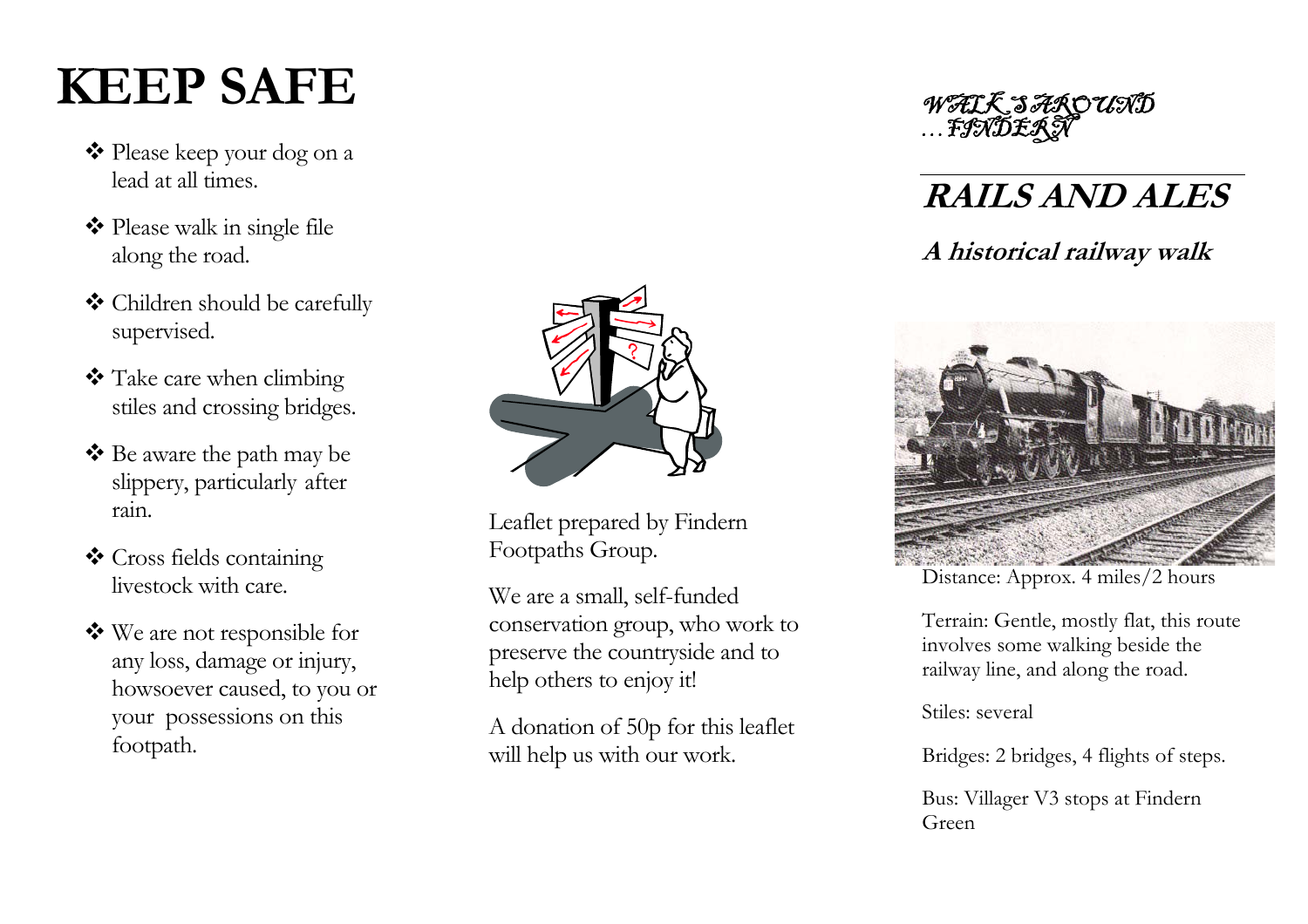# **KEEP SAFE**

- Please keep your dog on a lead at all times.
- ◆ Please walk in single file along the road.
- Children should be carefully supervised.
- \* Take care when climbing stiles and crossing bridges.
- Be aware the path may be slippery, particularly after rain.
- Cross fields containing livestock with care.
- We are not responsible for any loss, damage or injury, howsoever caused, to you or your possessions on this footpath.



Leaflet prepared by Findern Footpaths Group.

We are a small, self-funded conservation group, who work to preserve the countryside and to help others to enjoy it!

A donation of 50p for this leaflet will help us with our work.



### **RAILS AND ALES**

### **A historical railway walk**



Distance: Approx. 4 miles/2 hours

Terrain: G entle, mostly flat, this route involves some walking beside the railway line, and along the road.

Stiles: several

Bridges: 2 bridges, 4 flights of steps.

Bus: Villager V3 stops at Findern Green